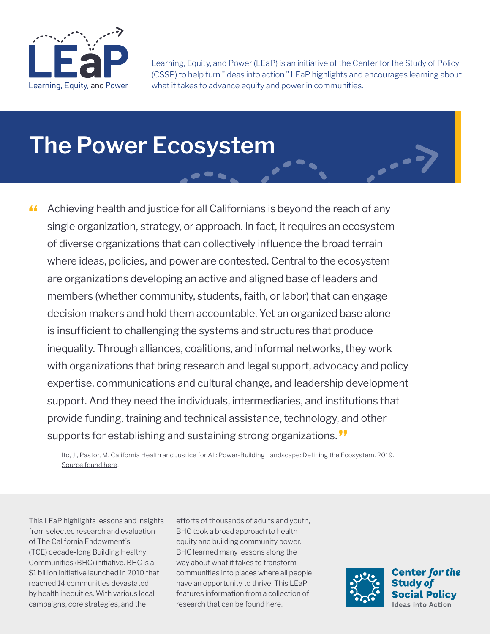

Learning, Equity, and Power (LEaP) is an initiative of the Center for the Study of Policy (CSSP) to help turn "ideas into action." LEaP highlights and encourages learning about what it takes to advance equity and power in communities.

# **The Power Ecosystem**

Achieving health and justice for all Californians is beyond the reach of any single organization, strategy, or approach. In fact, it requires an ecosystem of diverse organizations that can collectively influence the broad terrain where ideas, policies, and power are contested. Central to the ecosystem are organizations developing an active and aligned base of leaders and members (whether community, students, faith, or labor) that can engage decision makers and hold them accountable. Yet an organized base alone is insufficient to challenging the systems and structures that produce inequality. Through alliances, coalitions, and informal networks, they work with organizations that bring research and legal support, advocacy and policy expertise, communications and cultural change, and leadership development support. And they need the individuals, intermediaries, and institutions that provide funding, training and technical assistance, technology, and other supports for establishing and sustaining strong organizations. "

Ito, J., Pastor, M. California Health and Justice for All: Power-Building Landscape: Defining the Ecosystem. 2019. [Source found here.](https://www.calendow.org/app/uploads/2020/11/California-Health-and-Justice-for-All-Power-Building-Landscape_-Defining-the-Ecosystem_2019.pdf)

This LEaP highlights lessons and insights from selected research and evaluation of The California Endowment's (TCE) decade-long Building Healthy Communities (BHC) initiative. BHC is a \$1 billion initiative launched in 2010 that reached 14 communities devastated by health inequities. With various local campaigns, core strategies, and the

efforts of thousands of adults and youth, BHC took a broad approach to health equity and building community power. BHC learned many lessons along the way about what it takes to transform communities into places where all people have an opportunity to thrive. This LEaP features information from a collection of research that can be found [here.](https://www.calendow.org/learning-and-engagement/)

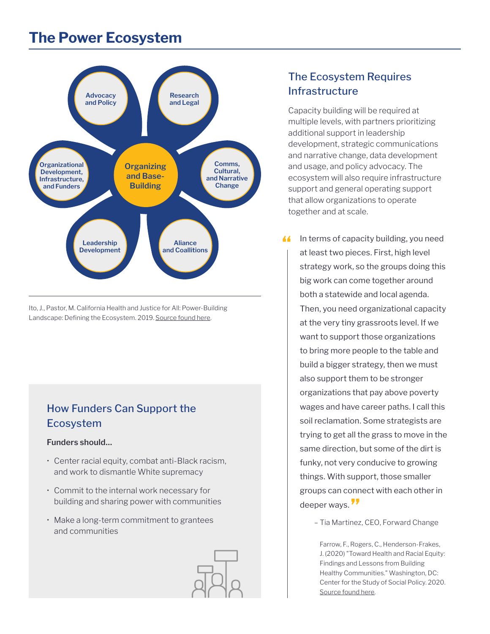## **The Power Ecosystem**



Ito, J., Pastor, M. California Health and Justice for All: Power-Building Landscape: Defining the Ecosystem. 2019. [Source found here](https://www.calendow.org/app/uploads/2020/11/California-Health-and-Justice-for-All-Power-Building-Landscape_-Defining-the-Ecosystem_2019.pdf).

## How Funders Can Support the Ecosystem

#### **Funders should...**

- Center racial equity, combat anti-Black racism, and work to dismantle White supremacy
- Commit to the internal work necessary for building and sharing power with communities
- Make a long-term commitment to grantees and communities

## Capacity building will be required at multiple levels, with partners prioritizing

Infrastructure

The Ecosystem Requires

additional support in leadership development, strategic communications and narrative change, data development and usage, and policy advocacy. The ecosystem will also require infrastructure support and general operating support that allow organizations to operate together and at scale.

If In terms of capacity building, you need<br>
In at least two pieces. First, bigh lovel at least two pieces. First, high level strategy work, so the groups doing this big work can come together around both a statewide and local agenda. Then, you need organizational capacity at the very tiny grassroots level. If we want to support those organizations to bring more people to the table and build a bigger strategy, then we must also support them to be stronger organizations that pay above poverty wages and have career paths. I call this soil reclamation. Some strategists are trying to get all the grass to move in the same direction, but some of the dirt is funky, not very conducive to growing things. With support, those smaller groups can connect with each other in deeper ways.

– Tia Martinez, CEO, Forward Change

Farrow, F., Rogers, C., Henderson-Frakes, J. (2020) "Toward Health and Racial Equity: Findings and Lessons from Building Healthy Communities." Washington, DC: Center for the Study of Social Policy. 2020. [Source found here](https://www.calendow.org/app/uploads/2021/03/Toward-Health-and-Racial-Equity-FULL-REPORT-.pdf).